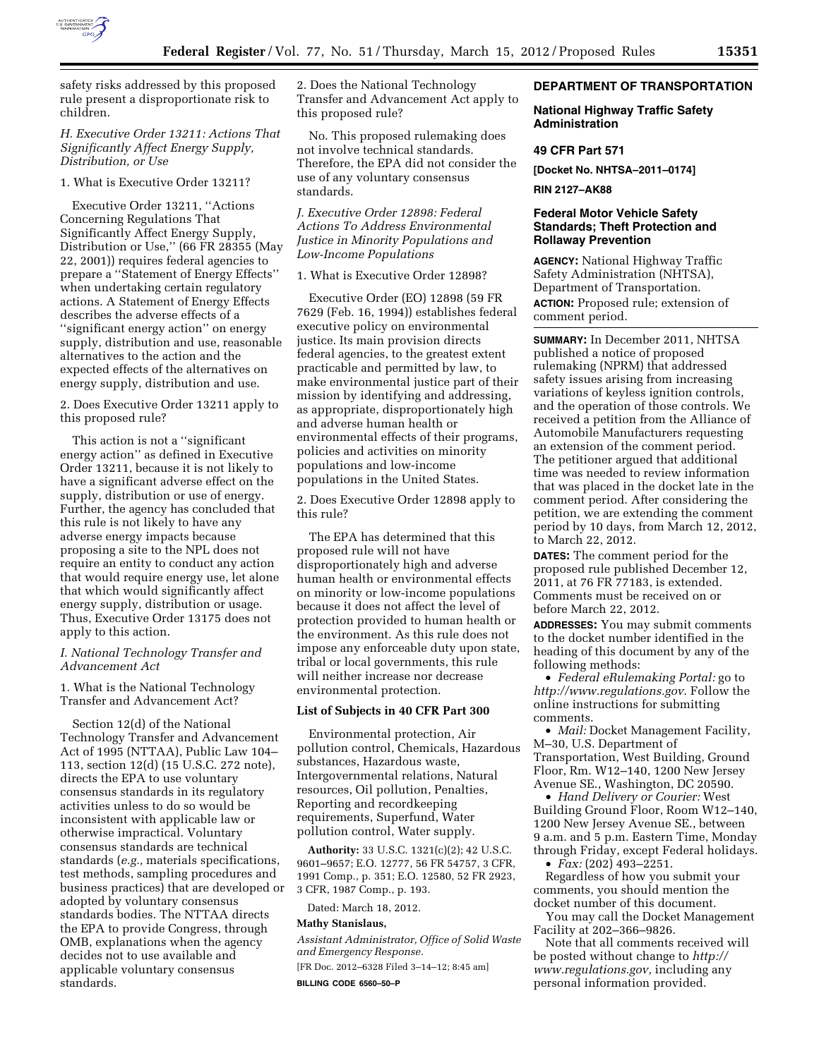

safety risks addressed by this proposed rule present a disproportionate risk to children.

# *H. Executive Order 13211: Actions That Significantly Affect Energy Supply, Distribution, or Use*

### 1. What is Executive Order 13211?

Executive Order 13211, ''Actions Concerning Regulations That Significantly Affect Energy Supply, Distribution or Use,'' (66 FR 28355 (May 22, 2001)) requires federal agencies to prepare a ''Statement of Energy Effects'' when undertaking certain regulatory actions. A Statement of Energy Effects describes the adverse effects of a ''significant energy action'' on energy supply, distribution and use, reasonable alternatives to the action and the expected effects of the alternatives on energy supply, distribution and use.

2. Does Executive Order 13211 apply to this proposed rule?

This action is not a ''significant energy action'' as defined in Executive Order 13211, because it is not likely to have a significant adverse effect on the supply, distribution or use of energy. Further, the agency has concluded that this rule is not likely to have any adverse energy impacts because proposing a site to the NPL does not require an entity to conduct any action that would require energy use, let alone that which would significantly affect energy supply, distribution or usage. Thus, Executive Order 13175 does not apply to this action.

# *I. National Technology Transfer and Advancement Act*

1. What is the National Technology Transfer and Advancement Act?

Section 12(d) of the National Technology Transfer and Advancement Act of 1995 (NTTAA), Public Law 104– 113, section 12(d) (15 U.S.C. 272 note), directs the EPA to use voluntary consensus standards in its regulatory activities unless to do so would be inconsistent with applicable law or otherwise impractical. Voluntary consensus standards are technical standards (*e.g.,* materials specifications, test methods, sampling procedures and business practices) that are developed or adopted by voluntary consensus standards bodies. The NTTAA directs the EPA to provide Congress, through OMB, explanations when the agency decides not to use available and applicable voluntary consensus standards.

2. Does the National Technology Transfer and Advancement Act apply to this proposed rule?

No. This proposed rulemaking does not involve technical standards. Therefore, the EPA did not consider the use of any voluntary consensus standards.

# *J. Executive Order 12898: Federal Actions To Address Environmental Justice in Minority Populations and Low-Income Populations*

1. What is Executive Order 12898?

Executive Order (EO) 12898 (59 FR 7629 (Feb. 16, 1994)) establishes federal executive policy on environmental justice. Its main provision directs federal agencies, to the greatest extent practicable and permitted by law, to make environmental justice part of their mission by identifying and addressing, as appropriate, disproportionately high and adverse human health or environmental effects of their programs, policies and activities on minority populations and low-income populations in the United States.

2. Does Executive Order 12898 apply to this rule?

The EPA has determined that this proposed rule will not have disproportionately high and adverse human health or environmental effects on minority or low-income populations because it does not affect the level of protection provided to human health or the environment. As this rule does not impose any enforceable duty upon state, tribal or local governments, this rule will neither increase nor decrease environmental protection.

### **List of Subjects in 40 CFR Part 300**

Environmental protection, Air pollution control, Chemicals, Hazardous substances, Hazardous waste, Intergovernmental relations, Natural resources, Oil pollution, Penalties, Reporting and recordkeeping requirements, Superfund, Water pollution control, Water supply.

**Authority:** 33 U.S.C. 1321(c)(2); 42 U.S.C. 9601–9657; E.O. 12777, 56 FR 54757, 3 CFR, 1991 Comp., p. 351; E.O. 12580, 52 FR 2923, 3 CFR, 1987 Comp., p. 193.

Dated: March 18, 2012.

# **Mathy Stanislaus,**

*Assistant Administrator, Office of Solid Waste and Emergency Response.*  [FR Doc. 2012–6328 Filed 3–14–12; 8:45 am] **BILLING CODE 6560–50–P** 

#### **DEPARTMENT OF TRANSPORTATION**

### **National Highway Traffic Safety Administration**

#### **49 CFR Part 571**

**[Docket No. NHTSA–2011–0174]** 

**RIN 2127–AK88** 

# **Federal Motor Vehicle Safety Standards; Theft Protection and Rollaway Prevention**

**AGENCY:** National Highway Traffic Safety Administration (NHTSA), Department of Transportation. **ACTION:** Proposed rule; extension of comment period.

**SUMMARY:** In December 2011, NHTSA published a notice of proposed rulemaking (NPRM) that addressed safety issues arising from increasing variations of keyless ignition controls, and the operation of those controls. We received a petition from the Alliance of Automobile Manufacturers requesting an extension of the comment period. The petitioner argued that additional time was needed to review information that was placed in the docket late in the comment period. After considering the petition, we are extending the comment period by 10 days, from March 12, 2012, to March 22, 2012.

**DATES:** The comment period for the proposed rule published December 12, 2011, at 76 FR 77183, is extended. Comments must be received on or before March 22, 2012.

**ADDRESSES:** You may submit comments to the docket number identified in the heading of this document by any of the following methods:

• *Federal eRulemaking Portal:* go to *<http://www.regulations.gov>*. Follow the online instructions for submitting comments.

• *Mail:* Docket Management Facility, M–30, U.S. Department of Transportation, West Building, Ground Floor, Rm. W12–140, 1200 New Jersey Avenue SE., Washington, DC 20590.

• *Hand Delivery or Courier:* West Building Ground Floor, Room W12–140, 1200 New Jersey Avenue SE., between 9 a.m. and 5 p.m. Eastern Time, Monday through Friday, except Federal holidays.

• *Fax:* (202) 493–2251.

Regardless of how you submit your comments, you should mention the docket number of this document.

You may call the Docket Management Facility at 202–366–9826.

Note that all comments received will be posted without change to *[http://](http://www.regulations.gov) [www.regulations.gov,](http://www.regulations.gov)* including any personal information provided.